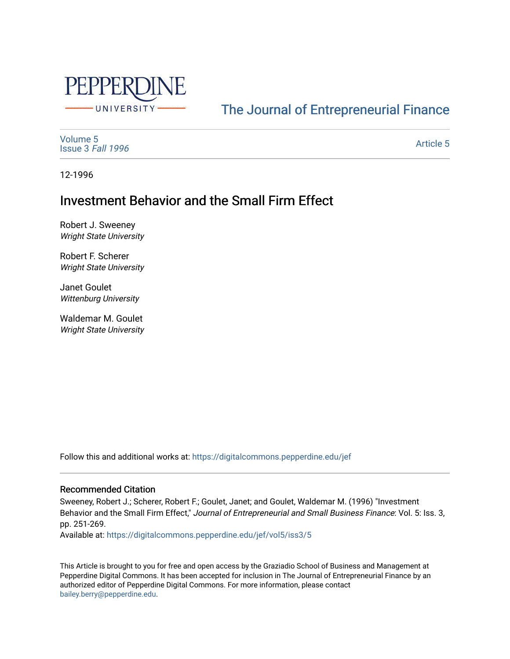

# [The Journal of Entrepreneurial Finance](https://digitalcommons.pepperdine.edu/jef)

[Volume 5](https://digitalcommons.pepperdine.edu/jef/vol5) [Issue 3](https://digitalcommons.pepperdine.edu/jef/vol5/iss3) Fall 1996

[Article 5](https://digitalcommons.pepperdine.edu/jef/vol5/iss3/5) 

12-1996

## Investment Behavior and the Small Firm Effect

Robert J. Sweeney Wright State University

Robert F. Scherer Wright State University

Janet Goulet Wittenburg University

Waldemar M. Goulet Wright State University

Follow this and additional works at: [https://digitalcommons.pepperdine.edu/jef](https://digitalcommons.pepperdine.edu/jef?utm_source=digitalcommons.pepperdine.edu%2Fjef%2Fvol5%2Fiss3%2F5&utm_medium=PDF&utm_campaign=PDFCoverPages) 

#### Recommended Citation

Sweeney, Robert J.; Scherer, Robert F.; Goulet, Janet; and Goulet, Waldemar M. (1996) "Investment Behavior and the Small Firm Effect," Journal of Entrepreneurial and Small Business Finance: Vol. 5: Iss. 3, pp. 251-269.

Available at: [https://digitalcommons.pepperdine.edu/jef/vol5/iss3/5](https://digitalcommons.pepperdine.edu/jef/vol5/iss3/5?utm_source=digitalcommons.pepperdine.edu%2Fjef%2Fvol5%2Fiss3%2F5&utm_medium=PDF&utm_campaign=PDFCoverPages)

This Article is brought to you for free and open access by the Graziadio School of Business and Management at Pepperdine Digital Commons. It has been accepted for inclusion in The Journal of Entrepreneurial Finance by an authorized editor of Pepperdine Digital Commons. For more information, please contact [bailey.berry@pepperdine.edu](mailto:bailey.berry@pepperdine.edu).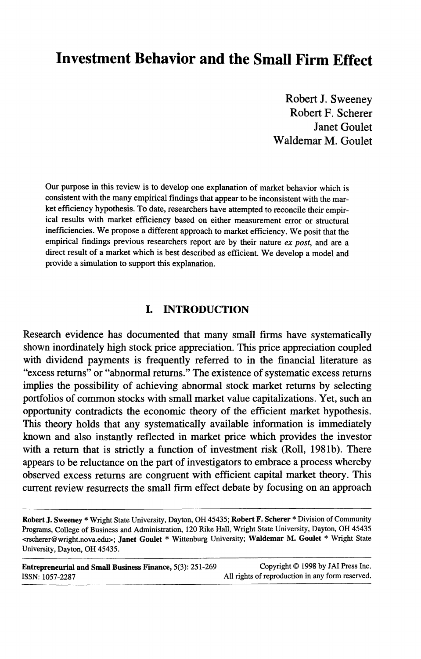## **Investment Behavior and the Small Firm Effect**

**Robert J. Sweeney Robert F. Scherer Janet Goulet Waldemar M. Goulet**

**Our purpose in this review is to develop one explanation of market behavior which is consistent with the many empirical findings that appear to be inconsistent with the market efficiency hypothesis. To date, researchers have attempted to reconcile their empirical results with market efficiency based on either measurement error or structural inefficiencies. We propose a different approach to market efficiency. We posit that the empirical findings previous researchers report are by their nature** *ex post,* **and are a direct result of a market which is best described as efficient. We develop a model and provide a simulation to support this explanation.**

#### **I. INTRODUCTION**

Research evidence has documented that many small firms have systematically shown inordinately high stock price appreciation. This price appreciation coupled with dividend payments is frequently referred to in the financial literature as "excess returns" or "abnormal returns." The existence of systematic excess returns implies the possibility of achieving abnormal stock market returns by selecting portfolios of common stocks with small market value capitalizations. Yet, such an opportunity contradicts the economic theory of the efficient market hypothesis. This theory holds that any systematically available information is immediately known and also instantly reflected in market price which provides the investor with a return that is strictly a function of investment risk (Roll, 1981b). There appears to be reluctance on the part of investigators to embrace a process whereby observed excess returns are congruent with efficient capital market theory. This current review resurrects the small firm effect debate by focusing on an approach

**Entrepreneurial and Small Business Finance, 5(3): 251-269 Copyright © 1998 by JAI Press Inc. ISSN: 1057-2287 All rights of reproduction in any form reserved.**

**Robert J. Sweeney \* Wright State University, Dayton, OH 45435; Robert F. Scherer \* Division of Community Programs, College of Business and Administration, 120 Rike Hall, Wright State University, Dayton, OH 45435 <rscherer@ wright.nova.edu>; Janet Goulet \* Wittenburg University; Waldemar M. Goulet \* Wright State University, Dayton, OH 45435.**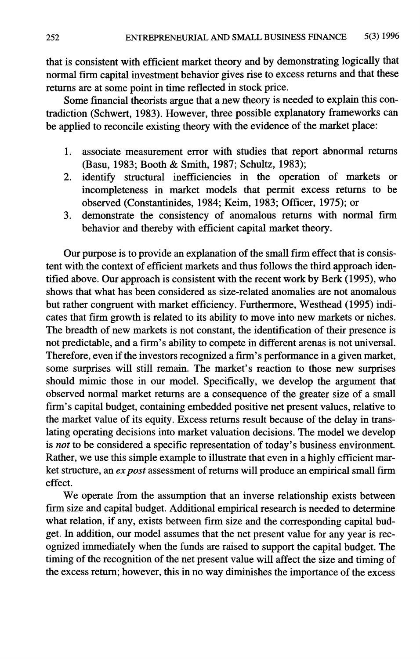that is consistent with efficient market theory and by demonstrating logically that normal firm capital investment behavior gives rise to excess returns and that these returns are at some point in time reflected in stock price.

Some financial theorists argue that a new theory is needed to explain this contradiction (Schwert, 1983). However, three possible explanatory frameworks can be applied to reconcile existing theory with the evidence of the market place:

- 1. associate measurement error with studies that report abnormal returns (Basu, 1983; Booth & Smith, 1987; Schultz, 1983);
- 2. identify structural inefficiencies in the operation of markets or incompleteness in market models that permit excess returns to be observed (Constantinides, 1984; Keim, 1983; Officer, 1975); or
- 3. demonstrate the consistency of anomalous returns with normal firm behavior and thereby with efficient capital market theory.

Our purpose is to provide an explanation of the small firm effect that is consistent with the context of efficient markets and thus follows the third approach identified above. Our approach is consistent with the recent work by Berk (1995), who shows that what has been considered as size-related anomalies are not anomalous but rather congruent with market efficiency. Furthermore, Westhead (1995) indicates that firm growth is related to its ability to move into new markets or niches. The breadth of new markets is not constant, the identification of their presence is not predictable, and a firm's ability to compete in different arenas is not universal. Therefore, even if the investors recognized a firm's performance in a given market, some surprises will still remain. The market's reaction to those new surprises should mimic those in our model. Specifically, we develop the argument that observed normal market returns are a consequence of the greater size of a small firm's capital budget, containing embedded positive net present values, relative to the market value of its equity. Excess returns result because of the delay in translating operating decisions into market valuation decisions. The model we develop is *not* to be considered a specific representation of today's business environment. Rather, we use this simple example to illustrate that even in a highly efficient market structure, an *ex post* assessment of returns will produce an empirical small firm effect.

We operate from the assumption that an inverse relationship exists between firm size and capital budget. Additional empirical research is needed to determine what relation, if any, exists between firm size and the corresponding capital budget. In addition, our model assumes that the net present value for any year is recognized immediately when the funds are raised to support the capital budget. The timing of the recognition of the net present value will affect the size and timing of the excess return; however, this in no way diminishes the importance of the excess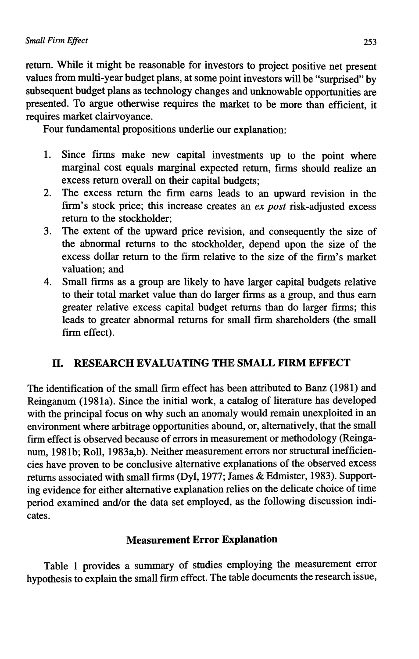return. While it might be reasonable for investors to project positive net present values from multi-year budget plans, at some point investors will be "surprised" by subsequent budget plans as technology changes and unknowable opportunities are presented. To argue otherwise requires the market to be more than efficient, it requires market clairvoyance.

Four fundamental propositions underlie our explanation:

- 1. Since firms make new capital investments up to the point where marginal cost equals marginal expected return, firms should realize an excess return overall on their capital budgets;
- 2. The excess return the firm earns leads to an upward revision in the firm's stock price; this increase creates an *ex post* risk-adjusted excess return to the stockholder;
- 3. The extent of the upward price revision, and consequently the size of the abnormal returns to the stockholder, depend upon the size of the excess dollar return to the firm relative to the size of the firm's market valuation; and
- 4. Small firms as a group are likely to have larger capital budgets relative to their total market value than do larger firms as a group, and thus earn greater relative excess capital budget returns than do larger firms; this leads to greater abnormal returns for small firm shareholders (the small firm effect).

## n . **RESEARCH EVALUATING THE SMALL FIRM EFFECT**

The identification of the small firm effect has been attributed to Banz (1981) and Reinganum (1981a). Since the initial work, a catalog of literature has developed with the principal focus on why such an anomaly would remain unexploited in an environment where arbitrage opportunities abound, or, alternatively, that the small firm effect is observed because of errors in measurement or methodology (Reinganum, 1981b; Roll, 1983a,b). Neither measurement errors nor structural inefficiencies have proven to be conclusive alternative explanations of the observed excess returns associated with small firms (Dyl, 1977; James & Edmister, 1983). Supporting evidence for either alternative explanation relies on the delicate choice of time period examined and/or the data set employed, as the following discussion indicates.

## **Measurement Error Explanation**

Table 1 provides a summary of studies employing the measurement error hypothesis to explain the small firm effect. The table documents the research issue,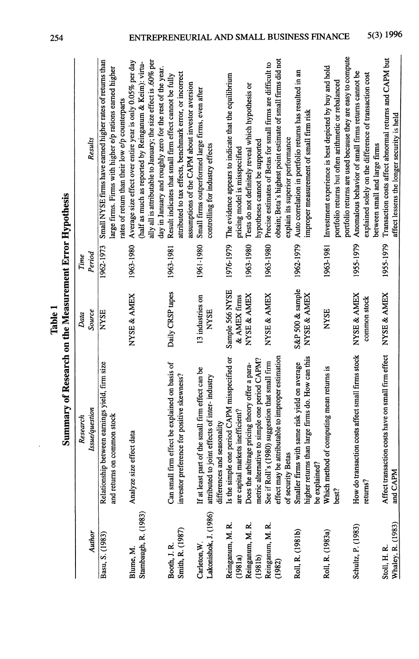|                                   | Summary of Research on the Measurement Error Hypothesis                       |                  |           |                                                                                                                                                                                         |
|-----------------------------------|-------------------------------------------------------------------------------|------------------|-----------|-----------------------------------------------------------------------------------------------------------------------------------------------------------------------------------------|
|                                   | Research                                                                      | Data             | Time      |                                                                                                                                                                                         |
| Author                            | <b>Issue/question</b>                                                         | Source           | Period    | Results                                                                                                                                                                                 |
| Basu, S. (1983)                   | Relationship between earnings yield, firm size<br>and returns on common stock | <b>NYSE</b>      | 1962-1973 | Small NYSE firms have earned higher rates of returns than<br>large firms. Firms with higher e/p rations earned higher<br>rates of return than their low e/p counterparts                |
| Blume, M.                         | Analyze size effect data                                                      | NYSE & AMEX      | 1963-1980 | Average size effect over entire year is only 0.05% per day                                                                                                                              |
| Stambaugh, R. (1983)              |                                                                               |                  |           | ally all is attributable to January; the size effect is .60% per<br>(half as much as reported by Reinganum & Keim): virtu-<br>day in January and roughly zero for the rest of the year. |
| Booth, J.R.                       | fect be explained on basis of<br>Can small firm eff                           | Daily CRSP tapes | 1963-1981 | Result indicates that small firm effect cannot be fully                                                                                                                                 |
| Smith, R. (1987)                  | investor preference for positive skewness?                                    |                  |           | attributed to tax effects, benchmark error, or incorrect<br>assumptions of the CAPM about investor aversion                                                                             |
| Carleton, W.                      | If at least part of the small firm effect can be                              | 13 industries on | 1961-1980 | Small firms outperformed large firms, even after                                                                                                                                        |
| Lakonishok, J. (1986)             | attributed to joint effects of inter- industry<br>differences and seasonality | <b>NYSE</b>      |           | controlling for industry effects                                                                                                                                                        |
| Reinganum, M. R.                  | Is the simple one period CAPM misspecified or                                 | Sample 566 NYSE  | 1976-1979 | The evidence appears to indicate that the equilibrium                                                                                                                                   |
| (1981a)                           | are capital markets inefficient?                                              | & AMEX firms     |           | pricing model is misspecified                                                                                                                                                           |
| Reinganum, M. R.                  | Does the arbitrage pricing theory offer a para-                               | NYSE & AMEX      | 1963-1980 | Tests do not definitely reveal which hypothesis or                                                                                                                                      |
| (1981b)                           | metric alternative to simple one period CAPM?                                 |                  |           | hypotheses cannot be supported                                                                                                                                                          |
| Reinganum, M. R.                  | See if Roll's (1980) suggestion that small firm                               | NYSE & AMEX      | 1963-1980 | Precise estimates of Betas for small firms are difficult to                                                                                                                             |
| (1982)                            | effect may be attributable to improper estimation<br>of security Betas        |                  |           | obtain; Beta's highest point estimate of small firms did not<br>explain its superior performance                                                                                        |
| Roll, R. (1981b)                  | Smaller firms with same risk yield on average                                 | S&P 500 & sample | 1962-1979 | Auto correlation in portfolio returns has resulted in an                                                                                                                                |
|                                   | higher returns than large firms do. How can this                              | NYSE & AMEX      |           | improper measurement of small firm risk                                                                                                                                                 |
|                                   | be explained?                                                                 |                  |           |                                                                                                                                                                                         |
| Roll, R. (1983a)                  | computing mean returns is<br>Which method of<br>best?                         | <b>NYSE</b>      | 1963-1981 | Investment experience is best depicted by buy and hold<br>portfolio returns but often arithmetic or rebalanced                                                                          |
|                                   |                                                                               |                  |           | portfolio returns are used because they are easy to compute                                                                                                                             |
| Schultz, P. (1983)                | How do transaction costs affect small firms stock                             | NYSE & AMEX      | 1955-1979 | Anomalous behavior of small firms returns cannot be                                                                                                                                     |
|                                   | returns?                                                                      | common stock     |           | explained solely on the difference of transaction cost                                                                                                                                  |
|                                   |                                                                               |                  |           | between small and large firms                                                                                                                                                           |
| Whaley, R. (1983)<br>Stoll, H. R. | costs have on small firm effect<br>Affect transaction<br>and CAPM             | NYSE & AMEX      | 1955-1979 | Transaction costs affect abnormal returns and CAPM but<br>affect lessens the longer security is held                                                                                    |

Table 1

254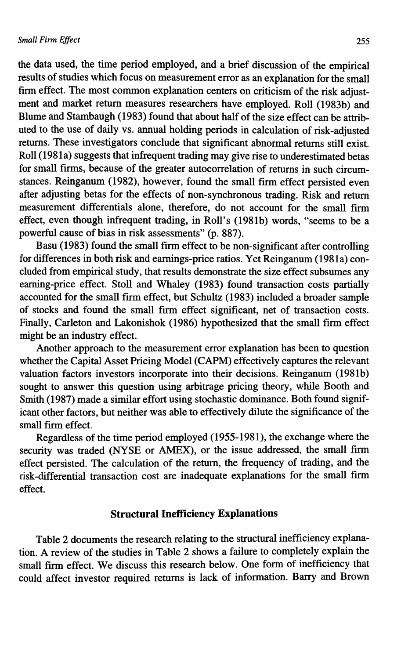the data used, the time period employed, and a brief discussion of the empirical results of studies which focus on measurement error as an explanation for the small firm effect. The most common explanation centers on criticism of the risk adjustment and market return measures researchers have employed. Roll (1983b) and Blume and Stambaugh (1983) found that about half of the size effect can be attributed to the use of daily vs. annual holding periods in calculation of risk-adjusted returns. These investigators conclude that significant abnormal returns still exist. Roll (1981a) suggests that infrequent trading may give rise to underestimated betas for small firms, because of the greater autocorrelation of returns in such circumstances. Reinganum (1982), however, found the small firm effect persisted even after adjusting betas for the effects of non-synchronous trading. Risk and return measurement differentials alone, therefore, do not account for the small firm effect, even though infrequent trading, in Roll's (1981b) words, "seems to be a powerful cause of bias in risk assessments" (p. 887).

Basu (1983) found the small firm effect to be non-significant after controlling for differences in both risk and eamings-price ratios. Yet Reinganum (1981a) concluded from empirical study, that results demonstrate the size effect subsumes any eaming-price effect. Stoll and Whaley (1983) found transaction costs partially accounted for the small firm effect, but Schultz (1983) included a broader sample of stocks and found the small firm effect significant, net of transaction costs. Finally, Carleton and Lakonishok (1986) hypothesized that the small firm effect might be an industry effect.

Another approach to the measurement error explanation has been to question whether the Capital Asset Pricing Model (CAPM) effectively captures the relevant valuation factors investors incorporate into their decisions. Reinganum (1981b) sought to answer this question using arbitrage pricing theory, while Booth and Smith (1987) made a similar effort using stochastic dominance. Both found significant other factors, but neither was able to effectively dilute the significance of the small firm effect.

Regardless of the time period employed (1955-1981), the exchange where the security was traded (NYSE or AMEX), or the issue addressed, the small firm effect persisted. The calculation of the return, the frequency of trading, and the risk-differential transaction cost are inadequate explanations for the small firm effect.

#### **Structural Inefficiency Explanations**

Table 2 documents the research relating to the structural inefficiency explanation. A review of the studies in Table 2 shows a failure to completely explain the small firm effect. We discuss this research below. One form of inefficiency that could affect investor required returns is lack of information. Barry and Brown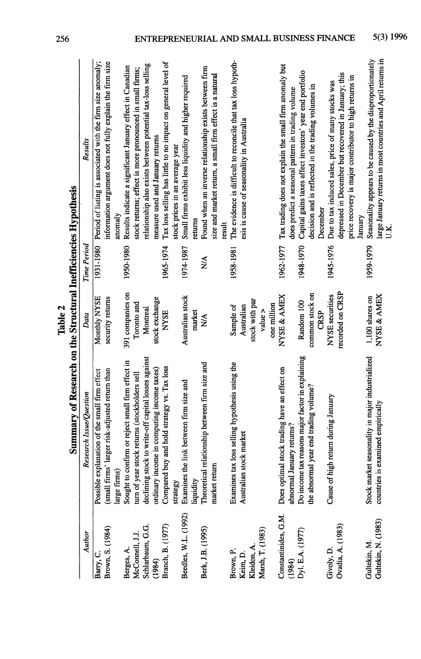|                                                         |                                                                                                                                                                        | Table 2                                                               |                        |                                                                                                                                                                                                                                             |
|---------------------------------------------------------|------------------------------------------------------------------------------------------------------------------------------------------------------------------------|-----------------------------------------------------------------------|------------------------|---------------------------------------------------------------------------------------------------------------------------------------------------------------------------------------------------------------------------------------------|
|                                                         | Summary of Research on the Structural Inefficiencies Hypothesis                                                                                                        |                                                                       |                        |                                                                                                                                                                                                                                             |
| Author                                                  | Research Issue/Question                                                                                                                                                | Data                                                                  | Time Period            | Results                                                                                                                                                                                                                                     |
| Brown, S. (1984)<br>Barry, C.                           | (small firms' larger risk-adjusted return than<br>Possible explanation of the small firm effect<br>arge firms)                                                         | Monthly NYSE<br>security returns                                      | 1931-1980              | Period of listing is associated with the firm size anomaly;<br>information argument does not fully explain the firm size<br>anomaly                                                                                                         |
| Schlarbaum, G.G.<br>McConnell, J.J<br>Berges, A.        | declining stock to write-off capital losses against<br>Sought to confirm or reject small firm effect in<br>turn of year stock returns (stockholders sell               | 391 companies on<br>Toronto and<br>Montreal                           | 1950-1980              | relationship also exists between potential tax-loss selling<br>Results indicate a significant January effect in Canadian<br>stock returns; effect is more pronounced in small firms;                                                        |
| Branch, B. (1977)<br>(1984)                             | Compared buy and hold strategy vs. Tax loss<br>ordinary income in computing income taxes)<br>strategy                                                                  | stock exchange<br><b>NYSE</b>                                         | 1965-1974              | Tax loss selling has little to no impact on general level of<br>measure used and January returns<br>stock prices in an average year                                                                                                         |
| Beedles, W.L. (1992)                                    | Examines the link between firm size and<br>liquidity                                                                                                                   | Australian stock<br>market                                            | 1974-1987              | Small firms exhibit less liquidity and higher required<br>returns                                                                                                                                                                           |
| Berk, J.B. (1995)                                       | Theoretical relationship between firm size and<br>market return                                                                                                        | ≫∖                                                                    | ≫∕                     | Found when an inverse relationship exists between firm<br>size and market return, a small firm effect is a natural<br>result                                                                                                                |
| Marsh, T. (1983)<br>Kleidon, A<br>Brown, P.<br>Keim, D. | Examines tax loss selling hypothesis using the<br>Australian stock market                                                                                              | stock with par<br>one million<br>Sample of<br>Australian<br>value $>$ | 1958-1981              | The evidence is difficult to reconcile that tax loss hypoth-<br>esis is cause of seasonality in Australia                                                                                                                                   |
| Constantinides, G.M.<br>Dyl, E.A. (1977)<br>(1984)      | Do income tax reasons major factor in explaining<br>Does optimal stock trading have an effect on<br>the abnormal year end trading volume?<br>abnormal January returns? | common stock on<br>NYSE & AMEX<br>Random 100<br><b>CRSP</b>           | 1948-1970<br>1962-1977 | Tax trading does not explain the small firm anomaly but<br>Capital gains taxes affect investors' year end portfolio<br>decision and is reflected in the trading volumes in<br>does predict a seasonal pattern in trading volume<br>December |
| Ovadia, A. (1983)<br>Givoly, D.                         | Cause of high return during January                                                                                                                                    | recorded on CRSP<br>NYSE securities                                   | 1945-1976              | depressed in December but recovered in January; this<br>price recovery is major contributor to high returns in<br>Due to tax induced sales, price of many stocks was<br>January                                                             |
| Gultekin, N. (1983)<br>Gultekin, M.                     | Stock market seasonality in major industrialized<br>countries is examined empirically                                                                                  | NYSE & AMEX<br>1,100 shares on                                        | 1959-1979              | Seasonality appears to be caused by the disproportionately<br>large January returns in most countries and April returns in                                                                                                                  |

256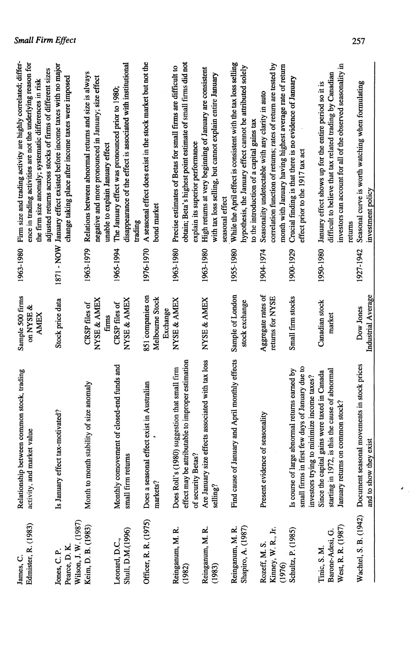| Seasonal curve is worth watching when formulating<br>investment policy                       | 1927-1942 | Industrial Average<br>Dow Jones | Document seasonal movements in stock prices<br>$\frac{1}{2}$<br>and to show they | Wachtel, S. B. (1942)                 |
|----------------------------------------------------------------------------------------------|-----------|---------------------------------|----------------------------------------------------------------------------------|---------------------------------------|
| returns                                                                                      |           |                                 |                                                                                  |                                       |
| investors can account for all of the observed seasonality in                                 |           |                                 | January returns on common stock?                                                 | West, R. R. (1987)                    |
| difficult to believe that tax related trading by Canadian                                    |           | marke                           | is this the cause of abnormal<br>starting in 1972,                               | Barone-Adesi, G.                      |
| January effect shows up for the entire period so it is                                       | 1950-1980 | Canadian stock                  | gains were taxed in Canada<br>Since the capital                                  | Tinic, S.M.                           |
|                                                                                              |           |                                 | investors trying to minimize income taxes?                                       |                                       |
| effect prior to the 1917 tax act                                                             |           |                                 | small firms in first few days of January due to                                  |                                       |
| Crucial finding is that there is no evidence of January                                      | 1900-1929 | Small firm stocks               | abnormal returns earned by<br>Is course of large                                 | Schultz, P. (1985)                    |
| month with January having highest average rate of return                                     |           |                                 |                                                                                  | (1976)                                |
| correlation function of returns; rates of return are tested by                               |           | returns for NYSE                |                                                                                  | Kinney, W.R., Jr.                     |
| Seasonality undetectable with any clarity in auto                                            | 1904-1974 | Aggregate rates of              | Present evidence of seasonality                                                  | Rozeff, M. S.                         |
| to the introduction of a capital gains tax                                                   |           |                                 |                                                                                  |                                       |
| hypothesis, the January effect cannot be attributed solely                                   |           | stock exchange                  |                                                                                  | Shapiro, A. (1987)                    |
| While the April effect is consistent with the tax loss selling                               | 1955-1980 | Sample of London                | Find cause of January and April monthly effects                                  | Reinganum, M. R.                      |
| seasonal effect                                                                              |           |                                 |                                                                                  |                                       |
| with tax loss selling, but cannot explain entire January                                     |           |                                 | selling?                                                                         | (1983)                                |
| High returns at very beginning of January are consistent<br>explain its superior performance | 1963-1980 | NYSE & AMEX                     | Are January size effects associated with tax loss<br>of security Betas?          | Reinganum, M. R.                      |
| obtain; Beta's highest point estimate of small firms did not                                 |           |                                 | effect may be attributable to improper estimation                                | (1982)                                |
| Precise estimates of Betas for small firms are difficult to                                  | 1963-1980 | NYSE & AMEX                     | Does Roll's (1980) suggestion that small firm                                    | Reinganum, M. R.                      |
|                                                                                              |           | Exchange                        |                                                                                  |                                       |
| bond market                                                                                  |           | Melbourne Stock                 | markets?                                                                         |                                       |
| A seasonal effect does exist in the stock market but not the<br>trading                      | 1976-1970 | 851 companies on                | Does a seasonal effect exist in Australian                                       | Officer, R. R. (1975)                 |
| disappearance of the effect is associated with institutional                                 |           | NYSE & AMEX                     | small firm returns                                                               | Shull, D.M.(1996)                     |
| The January effect was pronounced prior to 1980;                                             | 1965-1994 | CRSP files of                   | Monthly comovement of closed-end funds and                                       | Leonard, D.C.,                        |
| unable to explain January effect                                                             |           | firms                           |                                                                                  |                                       |
| negative and more pronounced in January; size effect                                         |           | NYSE & AMEX                     |                                                                                  |                                       |
| Relations between abnormal returns and size is always                                        | 1963-1979 | CRSP files of                   | Month to month stability of size anomaly                                         | Keim, D. B. (1983)                    |
| change taking place after income taxes were imposed                                          |           |                                 |                                                                                  | Wilson, J. W. (1987)<br>Pearce, D. K. |
| 1871 - NOW January effect existed before income taxes with no major                          |           | Stock price data                | Is January effect tax-motivated?                                                 | Jones, C.P.                           |
| adjusted returns across stocks of firms of different sizes                                   |           |                                 |                                                                                  |                                       |
| the firm size anomaly; systematic differences in risk                                        |           | <b>AMEX</b>                     |                                                                                  |                                       |
| ence in trading activities are not the underlying reason for                                 |           | on NYSE &                       | activity, and market value                                                       | Edmister, R. (1983)                   |
| Firm size and trading activity are highly correlated; differ-                                | 1963-1980 | Sample 500 firms                | Relationship between common stock, trading                                       | James, C.                             |

## **Small Firm Effect**

 $\mathcal{F}_{\mathcal{A}^{\prime}}$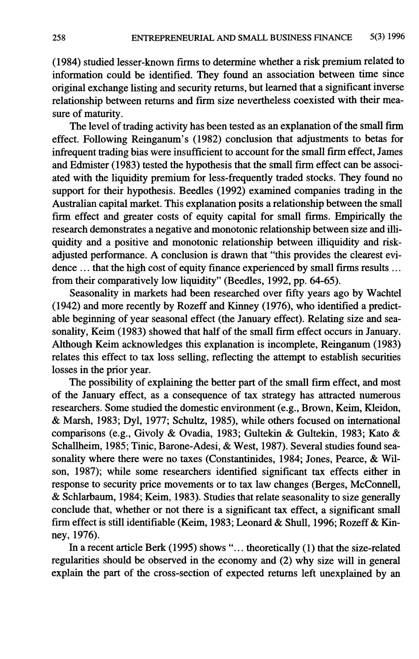(1984) studied lesser-known firms to determine whether a risk premium related to information could be identified. They found an association between time since original exchange listing and security returns, but learned that a significant inverse relationship between returns and firm size nevertheless coexisted with their measure of maturity.

The level of trading activity has been tested as an explanation of the small firm effect. Following Reinganum's (1982) conclusion that adjustments to betas for infrequent trading bias were insufficient to account for the small firm effect, James and Edmister (1983) tested the hypothesis that the small firm effect can be associated with the liquidity premium for less-frequently traded stocks. They found no support for their hypothesis. Beedles (1992) examined companies trading in the Australian capital market. This explanation posits a relationship between the small firm effect and greater costs of equity capital for small firms. Empirically the research demonstrates a negative and monotonic relationship between size and illiquidity and a positive and monotonic relationship between illiquidity and riskadjusted performance. A conclusion is drawn that "this provides the clearest evidence ... that the high cost of equity finance experienced by small firms results ... from their comparatively low liquidity" (Beedles, 1992, pp. 64-65).

Seasonality in markets had been researched over fifty years ago by Wachtel (1942) and more recently by Rozeff and Kinney (1976), who identified a predictable beginning of year seasonal effect (the January effect). Relating size and seasonality, Keim (1983) showed that half of the small firm effect occurs in January. Although Keim acknowledges this explanation is incomplete, Reinganum (1983) relates this effect to tax loss selling, reflecting the attempt to establish securities losses in the prior year.

The possibility of explaining the better part of the small firm effect, and most of the January effect, as a consequence of tax strategy has attracted numerous researchers. Some studied the domestic environment (e.g.. Brown, Keim, Kleidon, *&* Marsh, 1983; Dyl, 1977; Schultz, 1985), while others focused on international comparisons (e.g., Givoly & Ovadia, 1983; Gultekin & Gultekin, 1983; Kato & Schallheim, 1985; Tinic, Barone-Adesi, & West, 1987). Several studies found seasonality where there were no taxes (Constantinides, 1984; Jones, Pearce, & Wilson, 1987); while some researchers identified significant tax effects either in response to security price movements or to tax law changes (Berges, McConnell, *&* Schlarbaum, 1984; Keim, 1983). Studies that relate seasonality to size generally conclude that, whether or not there is a significant tax effect, a significant small firm effect is still identifiable (Keim, 1983; Leonard & Shull, 1996; Rozeff & Kinney, 1976).

In a recent article Berk (1995) shows "... theoretically (1) that the size-related regularities should be observed in the economy and (2) why size will in general explain the part of the cross-section of expected returns left unexplained by an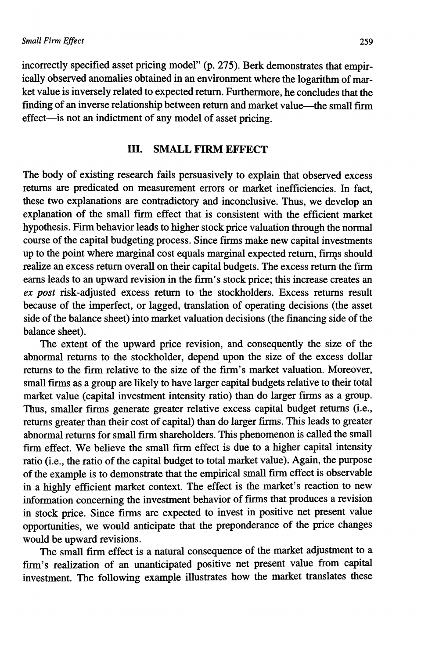incorrectly specified asset pricing model" (p. 275). Berk demonstrates that empirically observed anomalies obtained in an environment where the logarithm of market value is inversely related to expected return. Furthermore, he concludes that the finding of an inverse relationship between return and market value—the small firm effect—is not an indictment of any model of asset pricing.

### **ni.** SMALL FIRM EFFECT

The body of existing research fails persuasively to explain that observed excess returns are predicated on measurement errors or market inefficiencies. In fact, these two explanations are contradictory and inconclusive. Thus, we develop an explanation of the small firm effect that is consistent with the efficient market hypothesis. Firm behavior leads to higher stock price valuation through the normal course of the capital budgeting process. Since firms make new capital investments up to the point where marginal cost equals marginal expected return, firms should realize an excess return overall on their capital budgets. The excess return the firm eams leads to an upward revision in the firm's stock price; this increase creates an *ex post* risk-adjusted excess return to the stockholders. Excess returns result because of the imperfect, or lagged, translation of operating decisions (the asset side of the balance sheet) into market valuation decisions (the financing side of the balance sheet).

The extent of the upward price revision, and consequently the size of the abnormal returns to the stockholder, depend upon the size of the excess dollar returns to the firm relative to the size of the firm's market valuation. Moreover, small firms as a group are likely to have larger capital budgets relative to their total market value (capital investment intensity ratio) than do larger firms as a group. Thus, smaller firms generate greater relative excess capital budget returns (i.e., returns greater than their cost of capital) than do larger firms. This leads to greater abnormal returns for small firm shareholders. This phenomenon is called the small firm effect. We believe the small firm effect is due to a higher capital intensity ratio (i.e., the ratio of the capital budget to total market value). Again, the purpose of the example is to demonstrate that the empirical small firm effect is observable in a highly efficient market context. The effect is the market's reaction to new information concerning the investment behavior of firms that produces a revision in stock price. Since firms are expected to invest in positive net present value opportunities, we would anticipate that the preponderance of the price changes would be upward revisions.

The small firm effect is a natural consequence of the market adjustment to a firm's realization of an unanticipated positive net present value from capital investment. The following example illustrates how the market translates these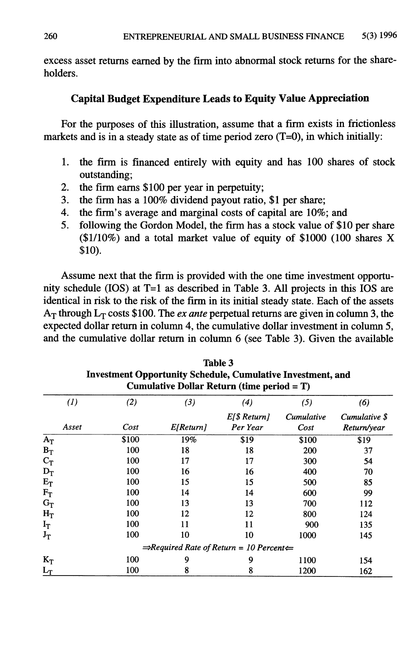excess asset returns earned by the firm into abnormal stock returns for the shareholders.

#### **Capital Budget Expenditure Leads to Equity Value Appreciation**

For the purposes of this illustration, assume that a firm exists in frictionless markets and is in a steady state as of time period zero  $(T=0)$ , in which initially:

- **<sup>1</sup>** . the firm is financed entirely with equity and has **100** shares of stock outstanding;
- 2. the firm earns \$100 per year in perpetuity;
- 3. the firm has a 100% dividend payout ratio, \$1 per share;
- 4. the firm's average and marginal costs of capital are 10%; and
- 5. following the Gordon Model, the firm has a stock value of \$10 per share (\$1/10%) and a total market value of equity of \$1000 (100 shares X **\$**10**).**

Assume next that the firm is provided with the one time investment opportunity schedule (lOS) at T=1 as described in Table 3. All projects in this lOS are identical in risk to the risk of the firm in its initial steady state. Each of the assets  $A_T$  through  $L_T$  costs \$100. The *ex ante* perpetual returns are given in column 3, the expected dollar return in column 4, the cumulative dollar investment in column 5, and the cumulative dollar return in column **6** (see Table 3). Given the available

|       |       | Cumulative Dollar Return (time period = $T$ )                   |                |            |               |
|-------|-------|-----------------------------------------------------------------|----------------|------------|---------------|
| (I)   | (2)   | (3)                                                             | (4)            | (5)        | (6)           |
|       |       |                                                                 | $E[\$ Return]$ | Cumulative | Cumulative \$ |
| Asset | Cost  | E[Return]                                                       | Per Year       | Cost       | Return/year   |
| $A_T$ | \$100 | 19%                                                             | \$19           | \$100      | \$19          |
| $B_T$ | 100   | 18                                                              | 18             | 200        | 37            |
| $C_T$ | 100   | 17                                                              | 17             | 300        | 54            |
| $D_T$ | 100   | 16                                                              | 16             | 400        | 70            |
| $E_T$ | 100   | 15                                                              | 15             | 500        | 85            |
| $F_T$ | 100   | 14                                                              | 14             | 600        | 99            |
| $G_T$ | 100   | 13                                                              | 13             | 700        | 112           |
| $H_T$ | 100   | 12                                                              | 12             | 800        | 124           |
| $I_T$ | 100   | 11                                                              | 11             | 900        | 135           |
| $J_T$ | 100   | 10                                                              | 10             | 1000       | 145           |
|       |       | $\Rightarrow$ Required Rate of Return = 10 Percent $\Leftarrow$ |                |            |               |
| $K_T$ | 100   | 9                                                               | 9              | 1100       | 154           |
| $L_T$ | 100   | 8                                                               | 8              | 1200       | 162           |

**Table 3 Investment Opportunity Schedule, Cumulative Investment, and**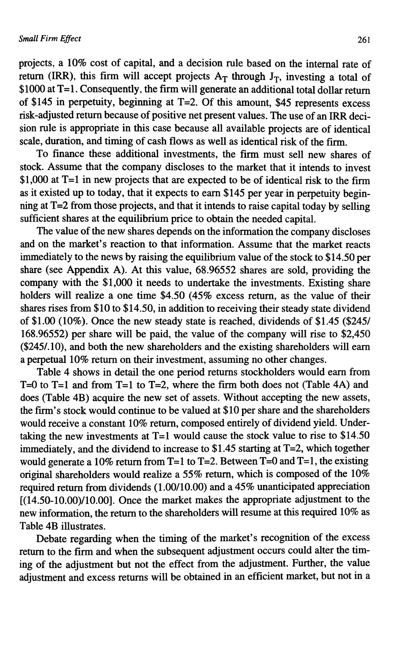projects, a **1 0**% cost of capital, and a decision rule based on the internal rate of return (IRR), this firm will accept projects  $A_T$  through  $J_T$ , investing a total of \$1000 at T=l. Consequently, the firm will generate an additional total dollar return of \$145 in perpetuity, beginning at T=2. Of this amount, \$45 represents excess risk-adjusted return because of positive net present values. The use of an IRR decision rule is appropriate in this case because all available projects are of identical scale, duration, and timing of cash flows as well as identical risk of the firm.

To finance these additional investments, the firm must sell new shares of stock. Assume that the company discloses to the market that it intends to invest \$1,000 at T=1 in new projects that are expected to be of identical risk to the firm as it existed up to today, that it expects to earn \$145 per year in perpetuity beginning at T=2 from those projects, and that it intends to raise capital today by selling sufficient shares at the equilibrium price to obtain the needed capital.

The value of the new shares depends on the information the company discloses and on the market's reaction to that information. Assume that the market reacts immediately to the news by raising the equilibrium value of the stock to \$14.50 per share (see Appendix A). At this value, 68.96552 shares are sold, providing the company with the \$1,000 it needs to undertake the investments. Existing share holders will realize a one time \$4.50 (45% excess return, as the value of their shares rises from \$10 to \$14.50, in addition to receiving their steady state dividend of \$1.00 (10%). Once the new steady state is reached, dividends of \$1.45 (\$245/ 168.96552) per share will be paid, the value of the company will rise to \$2,450 (\$245/. 10), and both the new shareholders and the existing shareholders will earn a perpetual **1 0**% return on their investment, assuming no other changes.

Table 4 shows in detail the one period returns stockholders would earn from T=0 to T=1 and from T=1 to T=2, where the firm both does not (Table 4A) and does (Table 4B) acquire the new set of assets. Without accepting the new assets, the firm's stock would continue to be valued at \$10 per share and the shareholders would receive a constant 10% return, composed entirely of dividend yield. Undertaking the new investments at  $T=1$  would cause the stock value to rise to \$14.50 immediately, and the dividend to increase to \$1.45 starting at T=2, which together would generate a 10% return from T=1 to T=2. Between T=0 and T=l, the existing original shareholders would realize a 55% return, which is composed of the 10% required return from dividends (1.00/10.00) and a 45% unanticipated appreciation  $[(14.50-10.00)/10.00]$ . Once the market makes the appropriate adjustment to the new information, the return to the shareholders wiU resume at this required **1 0**% as Table 4B illustrates.

Debate regarding when the timing of the market's recognition of the excess return to the firm and when the subsequent adjustment occurs could alter the timing of the adjustment but not the effect from the adjustment. Further, the value adjustment and excess returns will be obtained in an efficient market, but not in a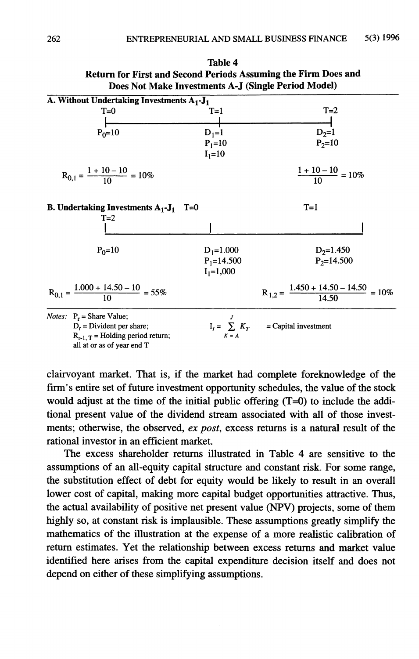| A. Without Undertaking Investments A <sub>1</sub> -J <sub>1</sub>   |                |                                                        |
|---------------------------------------------------------------------|----------------|--------------------------------------------------------|
| $T=0$                                                               | $T=1$          | $T=2$                                                  |
|                                                                     |                |                                                        |
| $P_0 = 10$                                                          | $D_1=1$        | $D_2=1$                                                |
|                                                                     | $P_1 = 10$     | $P_2 = 10$                                             |
|                                                                     | $I_1 = 10$     |                                                        |
| $R_{0,1} = \frac{1+10-10}{10} = 10\%$                               |                | $\frac{1+10-10}{10} = 10\%$                            |
|                                                                     |                |                                                        |
| <b>B.</b> Undertaking Investments $A_1 - J_1$ T=0<br>$T=2$          |                | $T=1$                                                  |
|                                                                     |                |                                                        |
|                                                                     |                |                                                        |
| $P_0 = 10$                                                          | $D_1 = 1.000$  | $D_2=1.450$                                            |
|                                                                     | $P_1 = 14.500$ | $P_2 = 14.500$                                         |
|                                                                     | $I_1 = 1,000$  |                                                        |
| $R_{0,1} = \frac{1.000 + 14.50 - 10}{10} = 55\%$                    |                | $R_{1,2} = \frac{1.450 + 14.50 - 14.50}{14.50} = 10\%$ |
| <i>Notes</i> : $P_r$ = Share Value;                                 |                |                                                        |
| $D_r$ = Divident per share;                                         |                | $I_r = \sum K_T$ = Capital investment                  |
| $R_{r-1, T}$ = Holding period return;<br>all at or as of year end T | $K = A$        |                                                        |

| Table 4                                                               |
|-----------------------------------------------------------------------|
| <b>Return for First and Second Periods Assuming the Firm Does and</b> |
| Does Not Make Investments A-J (Single Period Model)                   |

clairvoyant market. That is, if the market had complete foreknowledge of the firm's entire set of future investment opportunity schedules, the value of the stock would adjust at the time of the initial public offering  $(T=0)$  to include the additional present value of the dividend stream associated with all of those investments; otherwise, the observed, *ex post,* excess returns is a natural result of the rational investor in an efficient market.

The excess shareholder returns illustrated in Table 4 are sensitive to the assumptions of an all-equity capital structure and constant risk. For some range, the substitution effect of debt for equity would be likely to result in an overall lower cost of capital, making more capital budget opportunities attractive. Thus, the actual availability of positive net present value (NPV) projects, some of them highly so, at constant risk is implausible. These assumptions greatly simplify the mathematics of the illustration at the expense of a more realistic calibration of return estimates. Yet the relationship between excess returns and market value identified here arises from the capital expenditure decision itself and does not depend on either of these simplifying assumptions.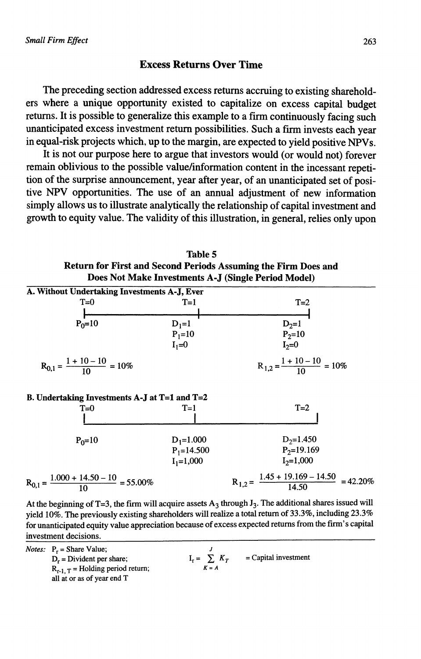#### **Excess Returns Over Time**

The preceding section addressed excess returns accruing to existing shareholders where a unique opportunity existed to capitalize on excess capital budget returns. It is possible to generalize this example to a firm continuously facing such unanticipated excess investment return possibilities. Such a firm invests each year in equal-risk projects which, up to the margin, are expected to yield positive NPVs.

It is not our purpose here to argue that investors would (or would not) forever remain oblivious to the possible value/information content in the incessant repetition of the surprise announcement, year after year, of an unanticipated set of positive NPV opportunities. The use of an annual adjustment of new information simply allows us to illustrate analytically the relationship of capital investment and growth to equity value. The validity of this illustration, in general, relies only upon

**Table 5**

|                                                     |                       | Return for First and Second Periods Assuming the Firm Does and<br>Does Not Make Investments A-J (Single Period Model) |
|-----------------------------------------------------|-----------------------|-----------------------------------------------------------------------------------------------------------------------|
| A. Without Undertaking Investments A-J, Ever        |                       |                                                                                                                       |
| $T=0$                                               | $T=1$                 | $T=2$                                                                                                                 |
| $P_0 = 10$                                          | $D_1=1$<br>$P_1 = 10$ | $D_2=1$<br>$P_2 = 10$                                                                                                 |
|                                                     | $I_1=0$               | $I_2=0$                                                                                                               |
| $R_{0,1} = \frac{1+10-10}{10} = 10\%$               |                       | $R_{1,2} = \frac{1+10-10}{10} = 10\%$                                                                                 |
| B. Undertaking Investments A-J at $T=1$ and $T=2$   |                       |                                                                                                                       |
| $T=0$                                               | $T=1$                 | $T=2$                                                                                                                 |
| $P_0 = 10$                                          | $D_1 = 1.000$         | $D_2 = 1.450$                                                                                                         |
|                                                     | $P_1 = 14.500$        | $P_2=19.169$                                                                                                          |
|                                                     | $I_1 = 1,000$         | $I_2=1,000$                                                                                                           |
| $R_{0,1} = \frac{1.000 + 14.50 - 10}{10} = 55.00\%$ |                       | $R_{1,2} = \frac{1.45 + 19.169 - 14.50}{14.50} = 42.20\%$                                                             |

**At the beginning of T=3, the firm will acquire assets A**3 **through J**<sup>3</sup> **. The additional shares issued will yield 10%. The previously existing shareholders will realize a total return of 33.3%, including 23.3% for unanticipated equity value appreciation because of excess expected returns from the firm's capital investment decisions. \_\_\_\_\_\_\_\_\_\_\_\_\_\_\_\_\_\_\_\_\_\_\_**

 $I_r = \sum_{K = A} K_T$ 

**= Capital investment**

*Notes:*  $P_r =$  Share Value;  $D_r$  = Divident per share;  $R_{r-1, T}$  = Holding period return; **all at or as of year end T**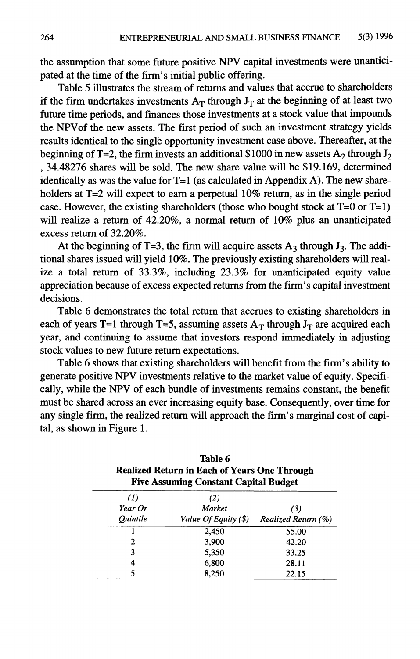the assumption that some future positive NPV capital investments were unanticipated at the time of the firm's initial public offering.

Table 5 illustrates the stream of returns and values that accrue to shareholders if the firm undertakes investments  $A_T$  through  $J_T$  at the beginning of at least two future time periods, and finances those investments at a stock value that impounds the NPVof the new assets. The first period of such an investment strategy yields results identical to the single opportunity investment case above. Thereafter, at the beginning of T=2, the firm invests an additional \$1000 in new assets  $A_2$  through  $J_2$ , 34.48276 shares will be sold. The new share value will be \$19,169, determined identically as was the value for  $T=1$  (as calculated in Appendix A). The new shareholders at T=2 will expect to earn a perpetual 10% return, as in the single period case. However, the existing shareholders (those who bought stock at  $T=0$  or  $T=1$ ) will realize a return of 42.20%, a normal return of 10% plus an unanticipated excess return of 32.20%.

At the beginning of T=3, the firm will acquire assets  $A_3$  through  $J_3$ . The additional shares issued will yield 10%. The previously existing shareholders will realize a total retum of 33.3%, including 23.3% for unanticipated equity value appreciation because of excess expected returns from the firm's capital investment decisions.

Table **6** demonstrates the total retum that accrues to existing shareholders in each of years T=1 through T=5, assuming assets  $A_T$  through  $J_T$  are acquired each year, and continuing to assume that investors respond immediately in adjusting stock values to new future return expectations.

Table **6** shows that existing shareholders will benefit from the firm's ability to generate positive NPV investments relative to the market value of equity. Specifically, while the NPV of each bundle of investments remains constant, the benefit must be shared across an ever increasing equity base. Consequently, over time for any single firm, the realized retum will approach the firm's marginal cost of capital, as shown in Figure 1.

|                        | Table 6<br><b>Realized Return in Each of Years One Through</b><br><b>Five Assuming Constant Capital Budget</b> |                     |  |  |  |  |
|------------------------|----------------------------------------------------------------------------------------------------------------|---------------------|--|--|--|--|
| (1)                    | (2)                                                                                                            |                     |  |  |  |  |
| Year Or                | Market                                                                                                         | (3)                 |  |  |  |  |
| <i><b>Ouintile</b></i> | Value Of Equity (\$)                                                                                           | Realized Return (%) |  |  |  |  |
|                        | 2,450                                                                                                          | 55.00               |  |  |  |  |
| 2                      | 3,900                                                                                                          | 42.20               |  |  |  |  |
| 3                      | 5,350                                                                                                          | 33.25               |  |  |  |  |
| 4                      | 6,800                                                                                                          | 28.11               |  |  |  |  |
| 5                      | 8.250                                                                                                          | 22.15               |  |  |  |  |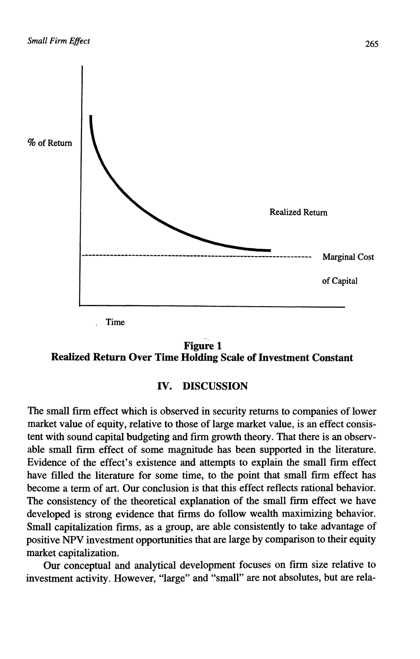



#### **IV. DISCUSSION**

The small firm effect which is observed in security returns to companies of lower market value of equity, relative to those of large market value, is an effect consistent with sound capital budgeting and firm growth theory. That there is an observable small firm effect of some magnitude has been supported in the literature. Evidence of the effect's existence and attempts to explain the small firm effect have filled the literature for some time, to the point that small firm effect has become a term of art. Our conclusion is that this effect reflects rational behavior. The consistency of the theoretical explanation of the small firm effect we have developed is strong evidence that firms do follow wealth maximizing behavior. Small capitalization firms, as a group, are able consistently to take advantage of positive NPV investment opportunities that are large by comparison to their equity market capitalization.

Our conceptual and analytical development focuses on firm size relative to investment activity. However, "large" and "small" are not absolutes, but are rela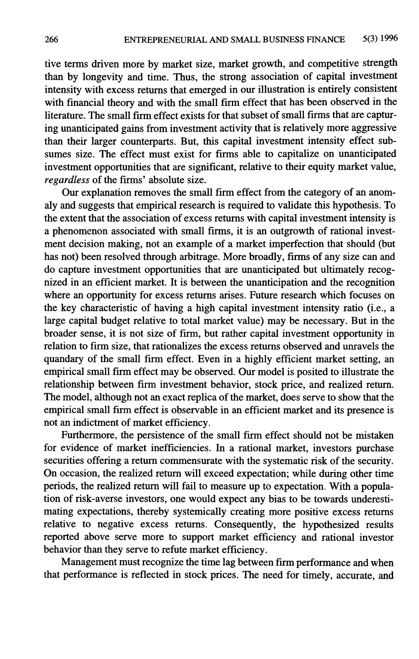tive terms driven more by market size, market growth, and competitive strength than by longevity and time. Thus, the strong association of capital investment intensity with excess returns that emerged in our illustration is entirely consistent with financial theory and with the small firm effect that has been observed in the literature. The small firm effect exists for that subset of small firms that are capturing unanticipated gains from investment activity that is relatively more aggressive than their larger counterparts. But, this capital investment intensity effect subsumes size. The effect must exist for firms able to capitalize on unanticipated investment opportunities that are significant, relative to their equity market value, *regardless* of the firms' absolute size.

Our explanation removes the small firm effect from the category of an anomaly and suggests that empirical research is required to validate this hypothesis. To the extent that the association of excess returns with capital investment intensity is a phenomenon associated with small firms, it is an outgrowth of rational investment decision making, not an example of a market imperfection that should (but has not) been resolved through arbitrage. More broadly, firms of any size can and do capture investment opportunities that are unanticipated but ultimately recognized in an efficient market. It is between the unanticipation and the recognition where an opportunity for excess returns arises. Future research which focuses on the key characteristic of having a high capital investment intensity ratio (i.e., a large capital budget relative to total market value) may be necessary. But in the broader sense, it is not size of firm, but rather capital investment opportunity in relation to firm size, that rationalizes the excess returns observed and unravels the quandary of the small firm effect. Even in a highly efficient market setting, an empirical small firm effect may be observed. Our model is posited to illustrate the relationship between firm investment behavior, stock price, and realized return. The model, although not an exact replica of the market, does serve to show that the empirical small firm effect is observable in an efficient market and its presence is not an indictment of market efficiency.

Furthermore, the persistence of the small firm effect should not be mistaken for evidence of market inefficiencies. In a rational market, investors purchase securities offering a return commensurate with the systematic risk of the security. On occasion, the realized return will exceed expectation; while during other time periods, the realized return will fail to measure up to expectation. With a population of risk-averse investors, one would expect any bias to be towards underestimating expectations, thereby systemically creating more positive excess returns relative to negative excess returns. Consequently, the hypothesized results reported above serve more to support market efficiency and rational investor behavior than they serve to refute market efficiency.

Management must recognize the time lag between firm performance and when that performance is reflected in stock prices. The need for timely, accurate, and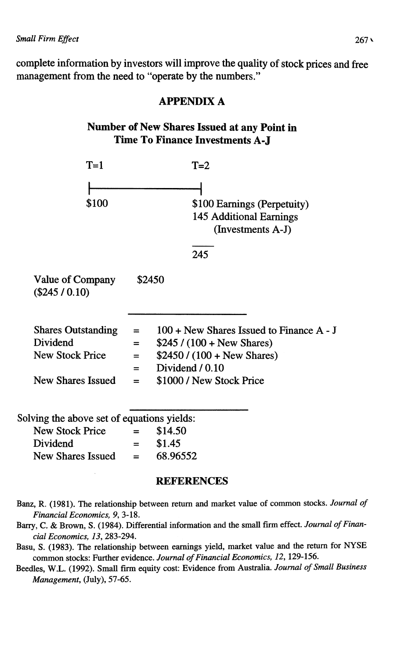complete information by investors will improve the quality of stock prices and free management from the need to "operate by the numbers."



#### REFERENCES

- **Banz, R. (1981). The relationship between return and market value of common stocks.** *Journal of Financial Economics, 9,* **3-18.**
- **Barry, C. & Brown, S. (1984). Differential information and the small firm effect.** *Journal of Financial Economics, 13,* **283-294.**
- **Basu, S. (1983). The relationship between earnings yield, market value and the return for NYSE common stocks: Further evidence.** *Journal of Financial Economics, 12,* **129-156.**
- **Beedles, W.L. (1992). Small firm equity cost: Evidence from Australia.** *Journal of Small Business Management,* **(July), 57-65.**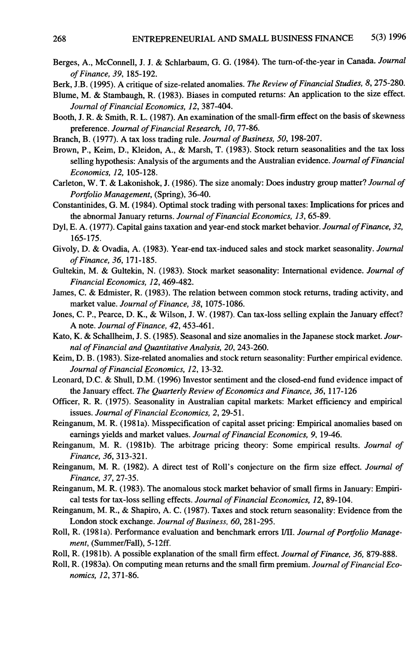- **Berges, A., McConnell, J. J. & Schlarbaum, G. G. (1984). The tum-of-the-year in Canada.** *Journal of Finance, 39,* **185-192.**
- **Berk, J.B. (1995). A critique of size-related anomalies.** *The Review of Financial Studies, 8 ,***275-280.**
- **Blume, M. & Stambaugh, R. (1983). Biases in computed returns: An application to the size effect.** *Journal of Financial Economics, 12,* **387-404.**
- **Booth, J. R. & Smith, R. L. (1987). An examination of the small-firm effect on the basis of skewness preference.** *Journal of Financial Research, 10,* **77-86.**
- **Branch, B. (1977). A tax loss trading rule.** *Journal of Business, 50,* **198-207.**
- **Brown, P., Keim, D., Kleidon, A.,** *8l* **Marsh, T. (1983). Stock return seasonalities and the tax loss selling hypothesis: Analysis of the arguments and the Australian evidence.** *Journal of Financial Economics, 12,* **105-128.**
- **Carleton, W. T. & Lakonishok, J. (1986). The size anomaly: Does industry group matter?** *Journal of Portfolio Management,* **(Spring), 36-40.**
- **Constantinides, G. M. (1984). Optimal stock trading with personal taxes: Implications for prices and the abnormal January returns.** *Journal of Financial Economics, 13,* **65-89.**
- **Dyl, E. A. (1977). Capital gains taxation and year-end stock market behavior.** *Journal of Finance, 32,* **165-175.**
- **Givoly, D. & Ovadia, A. (1983). Year-end tax-induced sales and stock market seasonality.** *Journal of Finance, 36,* **171-185.**
- **Gultekin, M. & Gultekin, N. (1983). Stock market seasonality: International evidence.** *Journal of Financial Economics, 12,* **469-482.**
- **James, C. & Edmister, R. (1983). The relation between common stock returns, trading activity, and market value.** *Journal of Finance, 38,* **1075-1086.**
- **Jones, C. P., Pearce, D. K., & Wilson, J. W. (1987). Can tax-loss selling explain the January effect? A note.** *Journal of Finance, 42,* **453-461.**
- **Kato, K. & Schallheim, J. S. (1985). Seasonal and size anomalies in the Japanese stock market.** *Journal of Financial and Quantitative Analysis, 20,* **243-260.**
- **Keim, D. B. (1983). Size-related anomalies and stock return seasonality: Further empirical evidence.** *Journal of Financial JEconomics, 12,* **13-32.**
- **Leonard, D.C. & Shull, D.M. (1996) Investor sentiment and the closed-end fund evidence impact of the January effect.** *The Quarterly Review of Economics and Finance, 36,* **117-126**
- **Officer, R. R. (1975). Seasonality in Australian capital markets: Market efficiency and empirical issues.** *Journal of Financial Economics, 2,* **29-51.**
- **Reinganum, M. R. (1981a). Misspecification of capital asset pricing: Empirical anomalies based on earnings yields and market values.** *Journal of Financial Economics, 9,* **19-46.**
- **Reinganum, M. R. (1981b). The arbitrage pricing theory: Some empirical results.** *Journal of Finance, 36,* **313-321.**
- **Reinganum, M. R. (1982). A direct test of Roll's conjecture on the firm size effect.** *Journal of Finance, 37,* **27-35.**
- **Reinganum, M. R. (1983). The anomalous stock market behavior of small firms in January: Empirical tests for tax-loss selling effects.** *Journal of Financial Economics, 12,* **89-104.**
- **Reinganum, M. R., & Shapiro, A. C. (1987). Taxes and stock return seasonality: Evidence from the London stock exchange.** *Journal of Business, 60,* **281-295.**
- **Roll, R. (1981a). Performance evaluation and benchmark errors** *l/U. Journal of Portfolio Management,* **(Summer/Fall), 5-12ff.**
- **Roll, R. (1981b). A possible explanation of the small firm effect.** *Journal of Finance, 36,* **879-888.**
- **Roll, R. (1983a). On computing mean returns and the small firm premium.** *Journal of Financial Economics, 12,* **371-86.**